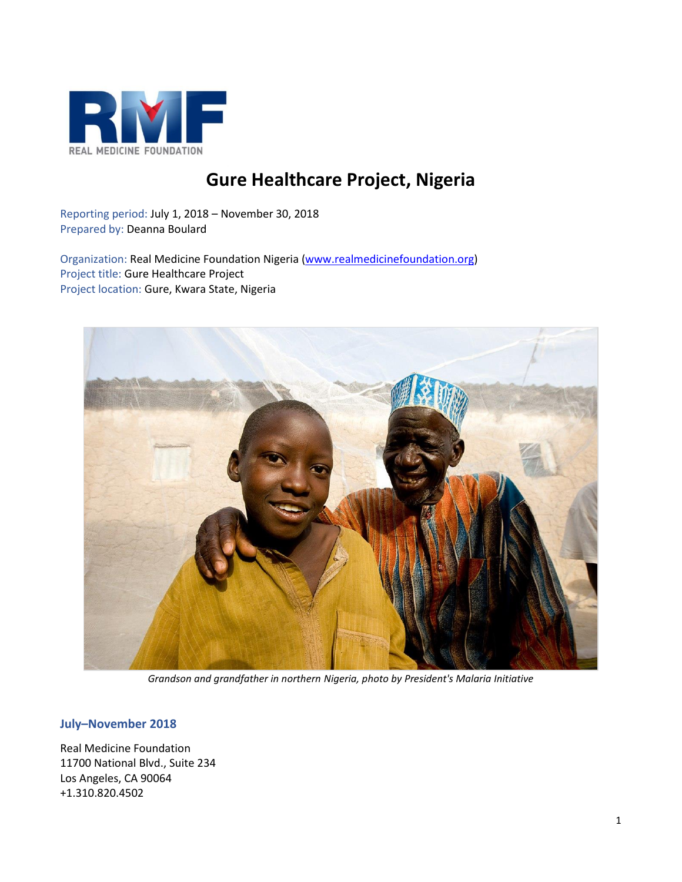

# **Gure Healthcare Project, Nigeria**

Reporting period: July 1, 2018 – November 30, 2018 Prepared by: Deanna Boulard

Organization: Real Medicine Foundation Nigeria [\(www.realmedicinefoundation.org\)](http://www.realmedicinefoundation.org/) Project title: Gure Healthcare Project Project location: Gure, Kwara State, Nigeria



*Grandson and grandfather in northern Nigeria, photo by President's Malaria Initiative*

## **July–November 2018**

Real Medicine Foundation 11700 National Blvd., Suite 234 Los Angeles, CA 90064 +1.310.820.4502